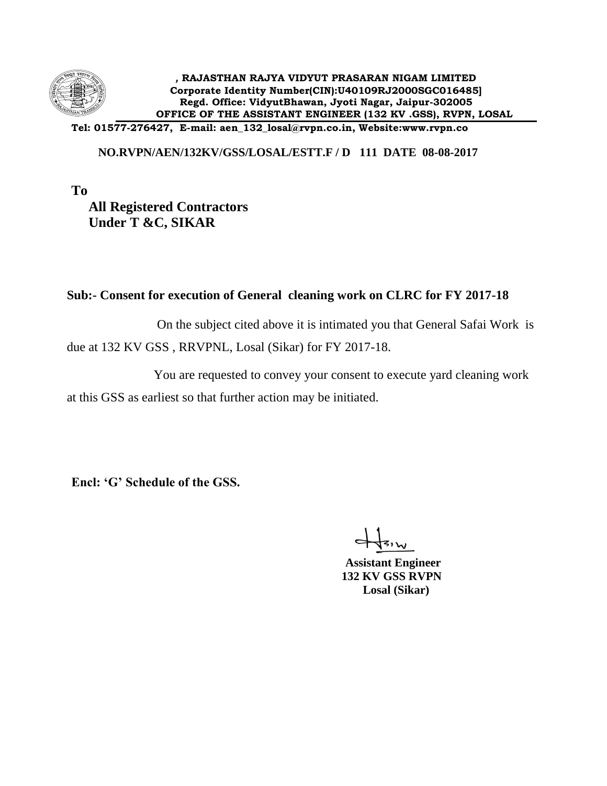

**Tel: 01577-276427, E-mail: aen\_132\_losal@rvpn.co.in, Website:www.rvpn.co**

## **NO.RVPN/AEN/132KV/GSS/LOSAL/ESTT.F / D 111 DATE 08-08-2017**

**To All Registered Contractors Under T &C, SIKAR**

## **Sub:- Consent for execution of General cleaning work on CLRC for FY 2017-18**

 On the subject cited above it is intimated you that General Safai Work is due at 132 KV GSS , RRVPNL, Losal (Sikar) for FY 2017-18.

 You are requested to convey your consent to execute yard cleaning work at this GSS as earliest so that further action may be initiated.

**Encl: 'G' Schedule of the GSS.**

 **Assistant Engineer 132 KV GSS RVPN Losal (Sikar)**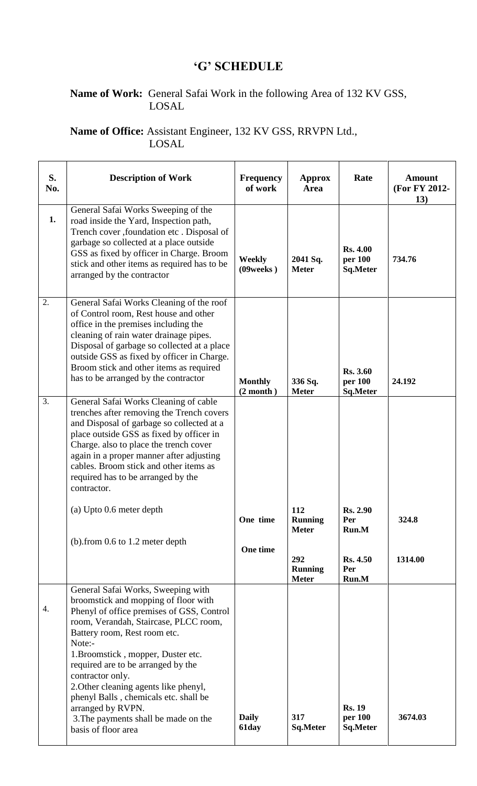## **'G' SCHEDULE**

## **Name of Work:** General Safai Work in the following Area of 132 KV GSS, LOSAL

**Name of Office:** Assistant Engineer, 132 KV GSS, RRVPN Ltd., LOSAL

| S.<br>No. | <b>Description of Work</b>                                                                                                                                                                                                                                                                                                                                                                                                                                                       | <b>Frequency</b><br>of work | <b>Approx</b><br><b>Area</b>          | Rate                                          | <b>Amount</b><br>(For FY 2012-<br>13) |
|-----------|----------------------------------------------------------------------------------------------------------------------------------------------------------------------------------------------------------------------------------------------------------------------------------------------------------------------------------------------------------------------------------------------------------------------------------------------------------------------------------|-----------------------------|---------------------------------------|-----------------------------------------------|---------------------------------------|
| 1.        | General Safai Works Sweeping of the<br>road inside the Yard, Inspection path,<br>Trench cover , foundation etc. Disposal of<br>garbage so collected at a place outside<br>GSS as fixed by officer in Charge. Broom<br>stick and other items as required has to be<br>arranged by the contractor                                                                                                                                                                                  | <b>Weekly</b><br>(09 weeks) | 2041 Sq.<br><b>Meter</b>              | <b>Rs. 4.00</b><br>per 100<br>Sq.Meter        | 734.76                                |
| 2.        | General Safai Works Cleaning of the roof<br>of Control room, Rest house and other<br>office in the premises including the<br>cleaning of rain water drainage pipes.<br>Disposal of garbage so collected at a place<br>outside GSS as fixed by officer in Charge.<br>Broom stick and other items as required<br>has to be arranged by the contractor                                                                                                                              | <b>Monthly</b><br>(2 month) | 336 Sq.<br><b>Meter</b>               | <b>Rs. 3.60</b><br>per 100<br><b>Sq.Meter</b> | 24.192                                |
| 3.        | General Safai Works Cleaning of cable<br>trenches after removing the Trench covers<br>and Disposal of garbage so collected at a<br>place outside GSS as fixed by officer in<br>Charge. also to place the trench cover<br>again in a proper manner after adjusting<br>cables. Broom stick and other items as<br>required has to be arranged by the<br>contractor.                                                                                                                 |                             |                                       |                                               |                                       |
|           | (a) Upto 0.6 meter depth                                                                                                                                                                                                                                                                                                                                                                                                                                                         | One time                    | 112<br><b>Running</b><br><b>Meter</b> | <b>Rs. 2.90</b><br>Per<br>Run.M               | 324.8                                 |
|           | $(b)$ . from 0.6 to 1.2 meter depth                                                                                                                                                                                                                                                                                                                                                                                                                                              | One time                    | 292<br><b>Running</b><br><b>Meter</b> | <b>Rs. 4.50</b><br>Per<br>Run.M               | 1314.00                               |
| 4.        | General Safai Works, Sweeping with<br>broomstick and mopping of floor with<br>Phenyl of office premises of GSS, Control<br>room, Verandah, Staircase, PLCC room,<br>Battery room, Rest room etc.<br>Note:-<br>1. Broomstick, mopper, Duster etc.<br>required are to be arranged by the<br>contractor only.<br>2. Other cleaning agents like phenyl,<br>phenyl Balls, chemicals etc. shall be<br>arranged by RVPN.<br>3. The payments shall be made on the<br>basis of floor area | <b>Daily</b><br>61day       | 317<br>Sq.Meter                       | <b>Rs. 19</b><br>per 100<br><b>Sq.Meter</b>   | 3674.03                               |